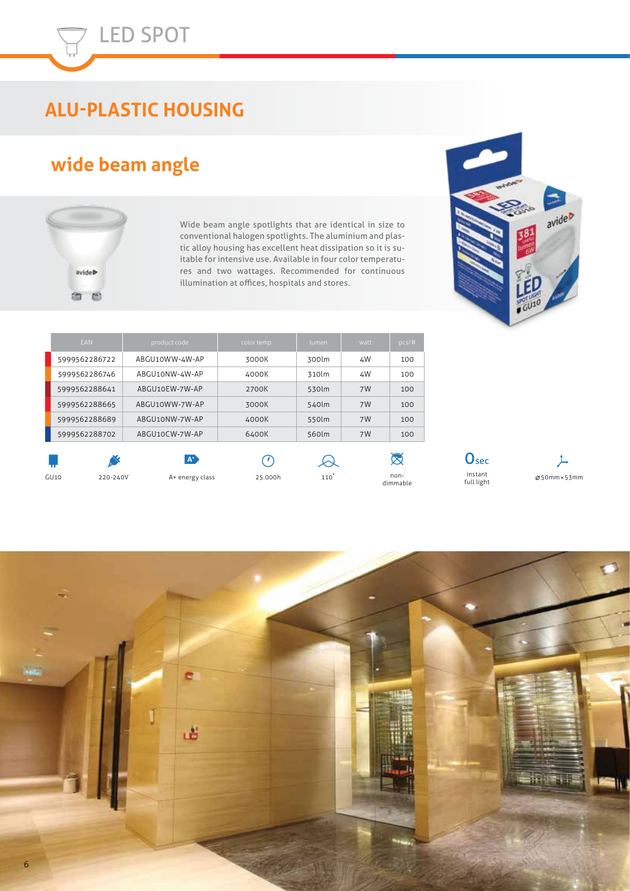# **ALU-PLASTIC HOUSING**

### **wide beam angle**



Wide beam angle spotlights that are identical in size to conventional halogen spotlights. The aluminium and plastic alloy housing has excellent heat dissipation so it is suitable for intensive use. Available in four color temperatures and two wattages. Recommended for continuous illumination at offices, hospitals and stores.

| EAN           |          | product code    | color temp. | lumen           | watt | pcs/t            |
|---------------|----------|-----------------|-------------|-----------------|------|------------------|
| 5999562286722 |          | ABGU10WW-4W-AP  | 3000K       | 300lm           | 4W   | 100              |
| 5999562286746 |          | ABGU10NW-4W-AP  | 4000K       | 310lm           | 4W   | 100              |
| 5999562288641 |          | ABGU10EW-7W-AP  | 2700K       | 530lm           | 7W   | 100              |
| 5999562288665 |          | ABGU10WW-7W-AP  | 3000K       | 540lm           | 7W   | 100              |
| 5999562288689 |          | ABGU10NW-7W-AP  | 4000K       | 550lm           | 7W   | 100              |
| 5999562288702 |          | ABGU10CW-7W-AP  | 6400K       | 560lm           | 7W   | 100              |
|               | ╲        | $A^*$           | U.          |                 |      | $\bigotimes$     |
| GU10          | 220-240V | A+ energy class | 25.000h     | $110^{\degree}$ |      | non-<br>dimmable |



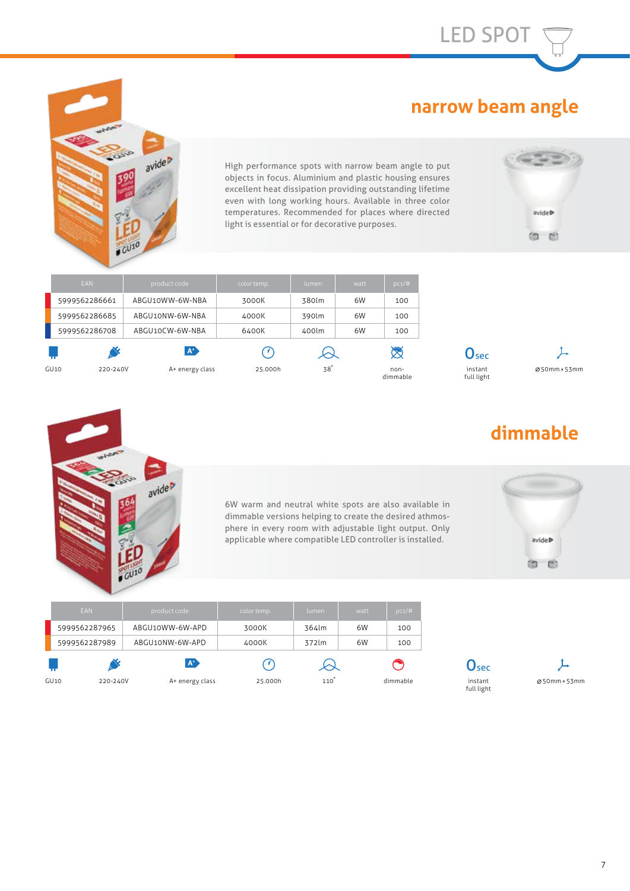LED SPOT

#### **narrow beam angle**



÷. avide High performance spots with narrow beam angle to put objects in focus. Aluminium and plastic housing ensures excellent heat dissipation providing outstanding lifetime even with long working hours. Available in three color temperatures. Recommended for places where directed light is essential or for decorative purposes.



| EAN              | product code    | color temp. | lumen.          | watt | pcs/#            |                             |              |
|------------------|-----------------|-------------|-----------------|------|------------------|-----------------------------|--------------|
| 5999562286661    | ABGU10WW-6W-NBA | 3000K       | 380lm           | 6W   | 100              |                             |              |
| 5999562286685    | ABGU10NW-6W-NBA | 4000K       | 390lm           | 6W   | 100              |                             |              |
| 5999562286708    | ABGU10CW-6W-NBA | 6400K       | 400lm           | 6W   | 100              |                             |              |
|                  | $\mathbf{A}^*$  | U.          |                 |      | $\boxtimes$      | $\mathbf{O}_{\mathbf{sec}}$ |              |
| GU10<br>220-240V | A+ energy class | 25.000h     | 38 <sup>°</sup> |      | non-<br>dimmable | instant<br>full light       | Ø50mm × 53mm |





# **dimmable**

6W warm and neutral white spots are also available in dimmable versions helping to create the desired athmosphere in every room with adjustable light output. Only applicable where compatible LED controller is installed.



| EAN              | product code    | color temp. | lumen | watt | $pcs/\#$ |                  |              |
|------------------|-----------------|-------------|-------|------|----------|------------------|--------------|
| 5999562287965    | ABGU10WW-6W-APD | 3000K       | 364lm | 6W   | 100      |                  |              |
| 5999562287989    | ABGU10NW-6W-APD | 4000K       | 372lm | 6W   | 100      |                  |              |
|                  | $A^*$           |             |       |      |          | $\mathbf{U}$ sec |              |
| GU10<br>220-240V | A+ energy class | 25.000h     | 110   |      | dimmable | instant<br>.     | Ø50mm × 53mm |

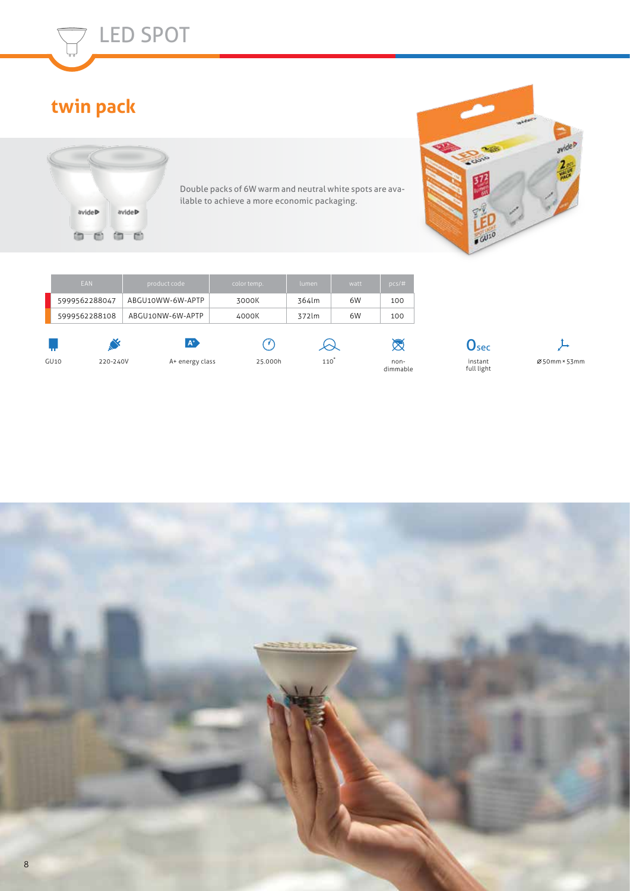

LED SPOT



Double packs of 6W warm and neutral white spots are available to achieve a more economic packaging.



| EAN              | product code     | color temp. | lumen | watt | pcs/t            |                       |              |
|------------------|------------------|-------------|-------|------|------------------|-----------------------|--------------|
| 5999562288047    | ABGU10WW-6W-APTP | 3000K       | 364lm | 6W   | 100              |                       |              |
| 5999562288108    | ABGU10NW-6W-APTP | 4000K       | 372lm | 6W   | 100              |                       |              |
|                  | $A^*$            | [∦]         |       |      | $\boxtimes$      | Usec                  |              |
| GU10<br>220-240V | A+ energy class  | 25.000h     | 110   |      | non-<br>dimmable | instant<br>full light | Ø50mm × 53mm |

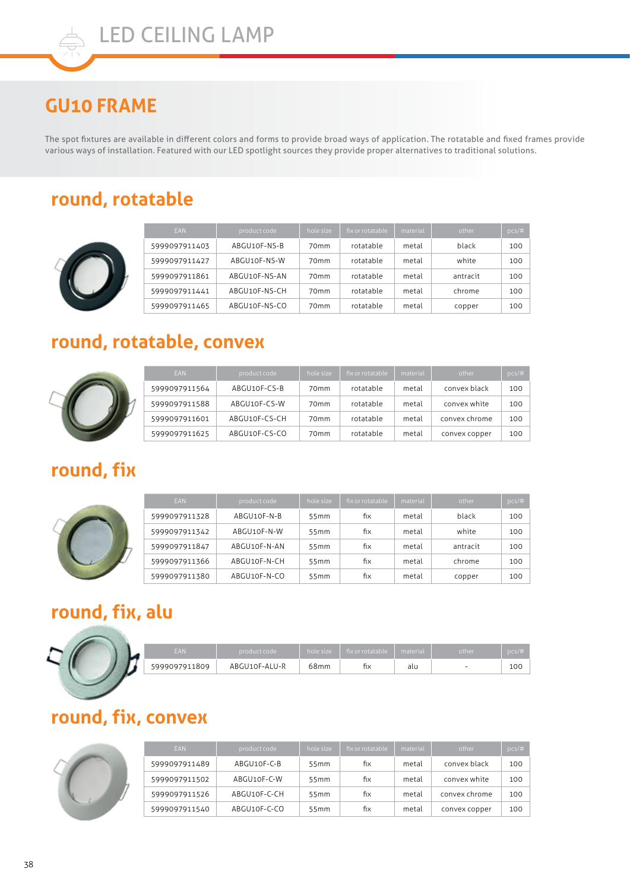### **GU10 FRAME**

The spot fixtures are available in different colors and forms to provide broad ways of application. The rotatable and fixed frames provide various ways of installation. Featured with our LED spotlight sources they provide proper alternatives to traditional solutions.

#### **round, rotatable**



| <b>EAN</b>    | product code  | hole size        | fix or rotatable | material | other    | pcs/# |
|---------------|---------------|------------------|------------------|----------|----------|-------|
| 5999097911403 | ABGU10F-NS-B  | 70 <sub>mm</sub> | rotatable        | metal    | black    | 100   |
| 5999097911427 | ABGU10F-NS-W  | 70 <sub>mm</sub> | rotatable        | metal    | white    | 100   |
| 5999097911861 | ABGU10F-NS-AN | 70 <sub>mm</sub> | rotatable        | metal    | antracit | 100   |
| 5999097911441 | ABGU10F-NS-CH | 70 <sub>mm</sub> | rotatable        | metal    | chrome   | 100   |
| 5999097911465 | ABGU10F-NS-CO | 70 <sub>mm</sub> | rotatable        | metal    | copper   | 100   |

#### **round, rotatable, convex**



| <b>EAN</b>    | product code  | hole size        | fix or rotatable | material | other         | $pcs/\#$ |
|---------------|---------------|------------------|------------------|----------|---------------|----------|
| 5999097911564 | ABGU10F-CS-B  | 70 <sub>mm</sub> | rotatable        | metal    | convex black  | 100      |
| 5999097911588 | ABGU10F-CS-W  | 70 <sub>mm</sub> | rotatable        | metal    | convex white  | 100      |
| 5999097911601 | ABGU10F-CS-CH | 70 <sub>mm</sub> | rotatable        | metal    | convex chrome | 100      |
| 5999097911625 | ABGU10F-CS-CO | 70 <sub>mm</sub> | rotatable        | metal    | convex copper | 100      |

#### **round, fix**



| <b>EAN</b>    | product code | hole size | fix or rotatable | material | other    | $pcs/\#$ |
|---------------|--------------|-----------|------------------|----------|----------|----------|
| 5999097911328 | ABGU10F-N-B  | 55mm      | fіх              | metal    | black    | 100      |
| 5999097911342 | ABGU10F-N-W  | 55mm      | fіх              | metal    | white    | 100      |
| 5999097911847 | ABGU10F-N-AN | 55mm      | fіх              | metal    | antracit | 100      |
| 5999097911366 | ABGU10F-N-CH | 55mm      | fіх              | metal    | chrome   | 100      |
| 5999097911380 | ABGU10F-N-CO | 55mm      | fіх              | metal    | copper   | 100      |

### **round, fix, alu**

| FAN           | product code  | hole size | fix or rotatable material |     | other | DCS/H |
|---------------|---------------|-----------|---------------------------|-----|-------|-------|
| 5999097911809 | ABGU10F-ALU-R | 68mm      | ħх                        | alu |       | 10C   |

#### **round, fix, convex**



| <b>EAN</b>    | product code | hole size | fix or rotatable | material | other         | DCS/# |
|---------------|--------------|-----------|------------------|----------|---------------|-------|
| 5999097911489 | ABGU10F-C-B  | 55mm      | fіx              | metal    | convex black  | 100   |
| 5999097911502 | ABGU10F-C-W  | 55mm      | fіx              | metal    | convex white  | 100   |
| 5999097911526 | ABGU10F-C-CH | 55mm      | fіх              | metal    | convex chrome | 100   |
| 5999097911540 | ABGU10F-C-CO | 55mm      | fіx              | metal    | convex copper | 100   |